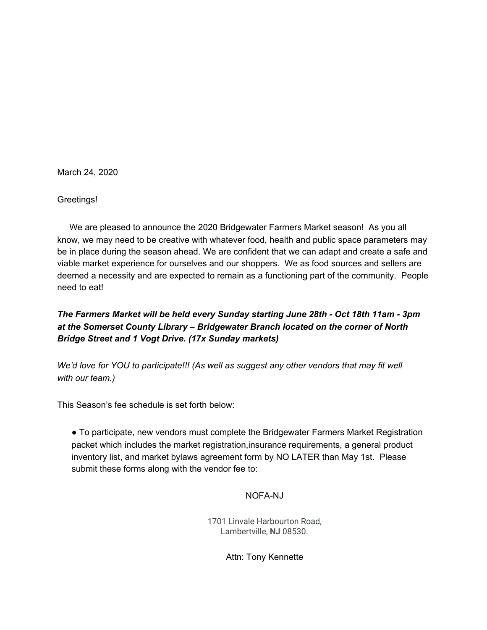March 24, 2020

Greetings!

We are pleased to announce the 2020 Bridgewater Farmers Market season! As you all know, we may need to be creative with whatever food, health and public space parameters may be in place during the season ahead. We are confident that we can adapt and create a safe and viable market experience for ourselves and our shoppers. We as food sources and sellers are deemed a necessity and are expected to remain as a functioning part of the community. People need to eat!

# *The Farmers Market will be held every Sunday starting June 28th - Oct 18th 11am - 3pm at the Somerset County Library – Bridgewater Branch located on the corner of North Bridge Street and 1 Vogt Drive. (17x Sunday markets)*

*We'd love for YOU to participate!!! (As well as suggest any other vendors that may fit well with our team.)*

This Season's fee schedule is set forth below:

● To participate, new vendors must complete the Bridgewater Farmers Market Registration packet which includes the market registration,insurance requirements, a general product inventory list, and market bylaws agreement form by NO LATER than May 1st. Please submit these forms along with the vendor fee to:

#### NOFA-NJ

1701 Linvale Harbourton Road, Lambertville, **NJ** 08530.

Attn: Tony Kennette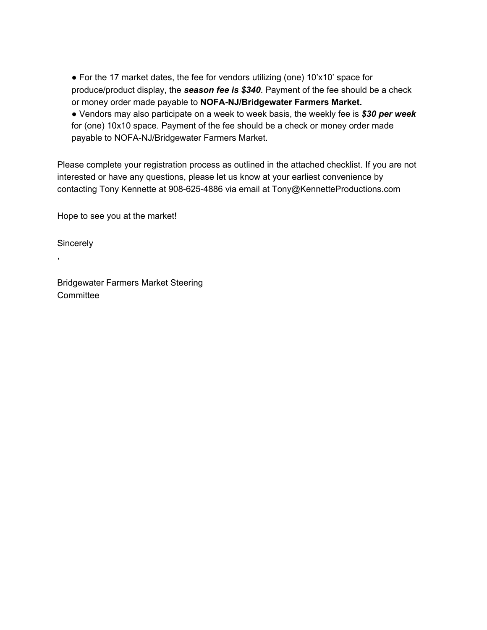● For the 17 market dates, the fee for vendors utilizing (one) 10'x10' space for produce/product display, the *season fee is \$340*. Payment of the fee should be a check or money order made payable to **NOFA-NJ/Bridgewater Farmers Market.** ● Vendors may also participate on a week to week basis, the weekly fee is *\$30 per week* for (one) 10x10 space. Payment of the fee should be a check or money order made payable to NOFA-NJ/Bridgewater Farmers Market.

Please complete your registration process as outlined in the attached checklist. If you are not interested or have any questions, please let us know at your earliest convenience by contacting Tony Kennette at 908-625-4886 via email at Tony@KennetteProductions.com

Hope to see you at the market!

**Sincerely** 

,

Bridgewater Farmers Market Steering **Committee**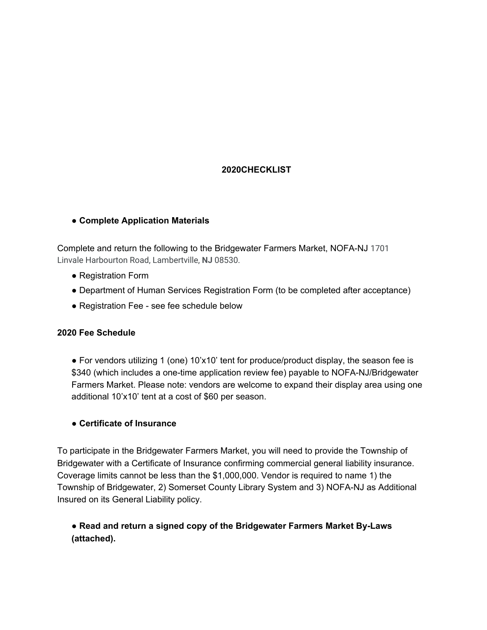# **2020CHECKLIST**

## ● **Complete Application Materials**

Complete and return the following to the Bridgewater Farmers Market, NOFA-NJ 1701 Linvale Harbourton Road, Lambertville, **NJ** 08530.

- Registration Form
- Department of Human Services Registration Form (to be completed after acceptance)
- Registration Fee see fee schedule below

### **2020 Fee Schedule**

● For vendors utilizing 1 (one) 10'x10' tent for produce/product display, the season fee is \$340 (which includes a one-time application review fee) payable to NOFA-NJ/Bridgewater Farmers Market. Please note: vendors are welcome to expand their display area using one additional 10'x10' tent at a cost of \$60 per season.

#### ● **Certificate of Insurance**

To participate in the Bridgewater Farmers Market, you will need to provide the Township of Bridgewater with a Certificate of Insurance confirming commercial general liability insurance. Coverage limits cannot be less than the \$1,000,000. Vendor is required to name 1) the Township of Bridgewater, 2) Somerset County Library System and 3) NOFA-NJ as Additional Insured on its General Liability policy.

# ● **Read and return a signed copy of the Bridgewater Farmers Market By-Laws (attached).**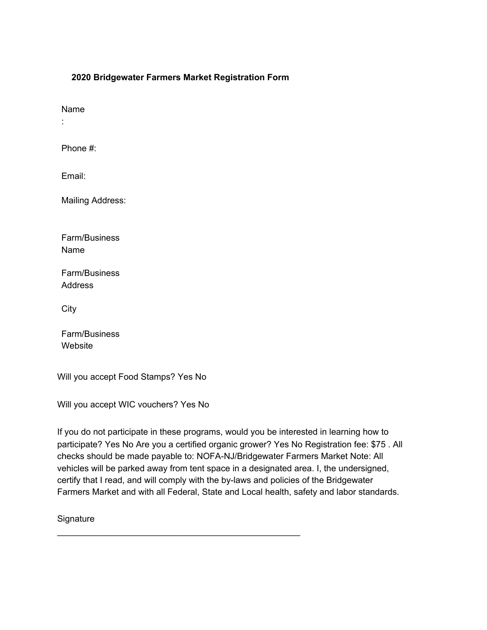### **2020 Bridgewater Farmers Market Registration Form**

Name

:

Phone #:

Email:

Mailing Address:

Farm/Business Name

Farm/Business Address

City

Farm/Business **Website** 

Will you accept Food Stamps? Yes No

Will you accept WIC vouchers? Yes No

If you do not participate in these programs, would you be interested in learning how to participate? Yes No Are you a certified organic grower? Yes No Registration fee: \$75 . All checks should be made payable to: NOFA-NJ/Bridgewater Farmers Market Note: All vehicles will be parked away from tent space in a designated area. I, the undersigned, certify that I read, and will comply with the by-laws and policies of the Bridgewater Farmers Market and with all Federal, State and Local health, safety and labor standards.

\_\_\_\_\_\_\_\_\_\_\_\_\_\_\_\_\_\_\_\_\_\_\_\_\_\_\_\_\_\_\_\_\_\_\_\_\_\_\_\_\_\_\_\_\_\_\_\_\_\_

**Signature**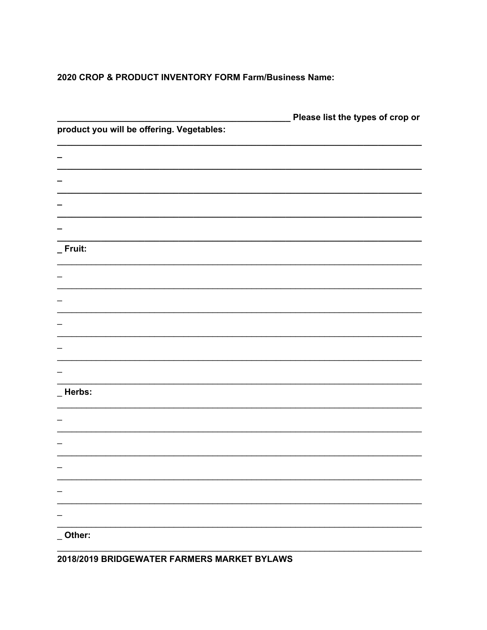## 2020 CROP & PRODUCT INVENTORY FORM Farm/Business Name:

| product you will be offering. Vegetables: | Please list the types of crop or |
|-------------------------------------------|----------------------------------|
|                                           |                                  |
|                                           |                                  |
|                                           |                                  |
|                                           |                                  |
|                                           |                                  |
| _ Fruit:                                  |                                  |
|                                           |                                  |
|                                           |                                  |
|                                           |                                  |
|                                           |                                  |
|                                           |                                  |
|                                           |                                  |
| _Herbs:                                   |                                  |
|                                           |                                  |
|                                           |                                  |
|                                           |                                  |
|                                           |                                  |
|                                           |                                  |
|                                           |                                  |
|                                           |                                  |
| Other:                                    |                                  |

2018/2019 BRIDGEWATER FARMERS MARKET BYLAWS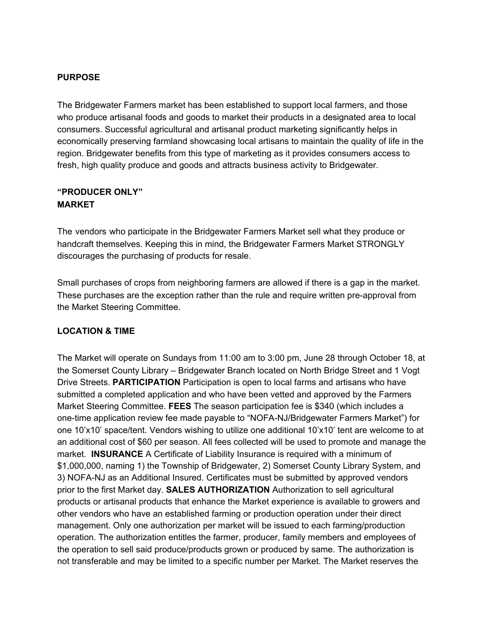### **PURPOSE**

The Bridgewater Farmers market has been established to support local farmers, and those who produce artisanal foods and goods to market their products in a designated area to local consumers. Successful agricultural and artisanal product marketing significantly helps in economically preserving farmland showcasing local artisans to maintain the quality of life in the region. Bridgewater benefits from this type of marketing as it provides consumers access to fresh, high quality produce and goods and attracts business activity to Bridgewater.

### **"PRODUCER ONLY" MARKET**

The vendors who participate in the Bridgewater Farmers Market sell what they produce or handcraft themselves. Keeping this in mind, the Bridgewater Farmers Market STRONGLY discourages the purchasing of products for resale.

Small purchases of crops from neighboring farmers are allowed if there is a gap in the market. These purchases are the exception rather than the rule and require written pre-approval from the Market Steering Committee.

## **LOCATION & TIME**

The Market will operate on Sundays from 11:00 am to 3:00 pm, June 28 through October 18, at the Somerset County Library – Bridgewater Branch located on North Bridge Street and 1 Vogt Drive Streets. **PARTICIPATION** Participation is open to local farms and artisans who have submitted a completed application and who have been vetted and approved by the Farmers Market Steering Committee. **FEES** The season participation fee is \$340 (which includes a one-time application review fee made payable to "NOFA-NJ/Bridgewater Farmers Market") for one 10'x10' space/tent. Vendors wishing to utilize one additional 10'x10' tent are welcome to at an additional cost of \$60 per season. All fees collected will be used to promote and manage the market. **INSURANCE** A Certificate of Liability Insurance is required with a minimum of \$1,000,000, naming 1) the Township of Bridgewater, 2) Somerset County Library System, and 3) NOFA-NJ as an Additional Insured. Certificates must be submitted by approved vendors prior to the first Market day. **SALES AUTHORIZATION** Authorization to sell agricultural products or artisanal products that enhance the Market experience is available to growers and other vendors who have an established farming or production operation under their direct management. Only one authorization per market will be issued to each farming/production operation. The authorization entitles the farmer, producer, family members and employees of the operation to sell said produce/products grown or produced by same. The authorization is not transferable and may be limited to a specific number per Market. The Market reserves the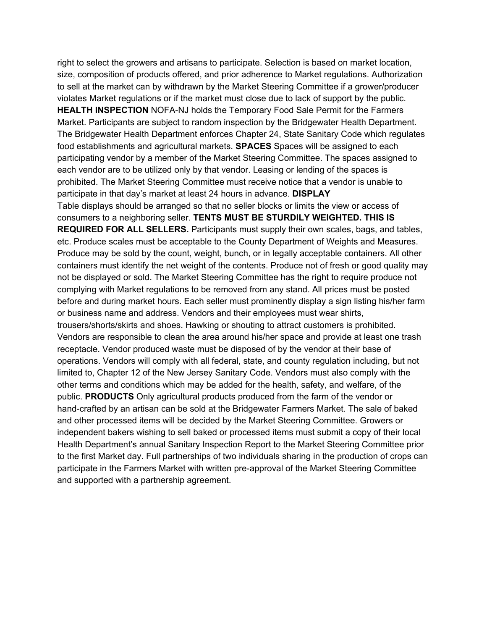right to select the growers and artisans to participate. Selection is based on market location, size, composition of products offered, and prior adherence to Market regulations. Authorization to sell at the market can by withdrawn by the Market Steering Committee if a grower/producer violates Market regulations or if the market must close due to lack of support by the public. **HEALTH INSPECTION** NOFA-NJ holds the Temporary Food Sale Permit for the Farmers Market. Participants are subject to random inspection by the Bridgewater Health Department. The Bridgewater Health Department enforces Chapter 24, State Sanitary Code which regulates food establishments and agricultural markets. **SPACES** Spaces will be assigned to each participating vendor by a member of the Market Steering Committee. The spaces assigned to each vendor are to be utilized only by that vendor. Leasing or lending of the spaces is prohibited. The Market Steering Committee must receive notice that a vendor is unable to participate in that day's market at least 24 hours in advance. **DISPLAY** Table displays should be arranged so that no seller blocks or limits the view or access of consumers to a neighboring seller. **TENTS MUST BE STURDILY WEIGHTED. THIS IS REQUIRED FOR ALL SELLERS.** Participants must supply their own scales, bags, and tables, etc. Produce scales must be acceptable to the County Department of Weights and Measures. Produce may be sold by the count, weight, bunch, or in legally acceptable containers. All other containers must identify the net weight of the contents. Produce not of fresh or good quality may not be displayed or sold. The Market Steering Committee has the right to require produce not complying with Market regulations to be removed from any stand. All prices must be posted before and during market hours. Each seller must prominently display a sign listing his/her farm or business name and address. Vendors and their employees must wear shirts, trousers/shorts/skirts and shoes. Hawking or shouting to attract customers is prohibited. Vendors are responsible to clean the area around his/her space and provide at least one trash receptacle. Vendor produced waste must be disposed of by the vendor at their base of operations. Vendors will comply with all federal, state, and county regulation including, but not limited to, Chapter 12 of the New Jersey Sanitary Code. Vendors must also comply with the other terms and conditions which may be added for the health, safety, and welfare, of the public. **PRODUCTS** Only agricultural products produced from the farm of the vendor or hand-crafted by an artisan can be sold at the Bridgewater Farmers Market. The sale of baked and other processed items will be decided by the Market Steering Committee. Growers or independent bakers wishing to sell baked or processed items must submit a copy of their local Health Department's annual Sanitary Inspection Report to the Market Steering Committee prior to the first Market day. Full partnerships of two individuals sharing in the production of crops can participate in the Farmers Market with written pre-approval of the Market Steering Committee and supported with a partnership agreement.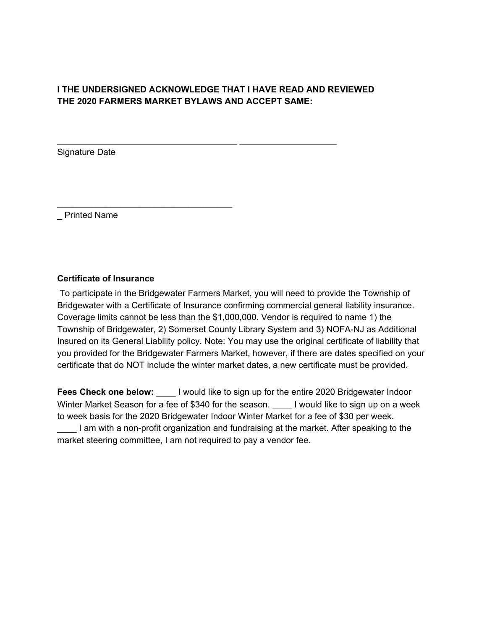# **I THE UNDERSIGNED ACKNOWLEDGE THAT I HAVE READ AND REVIEWED THE 2020 FARMERS MARKET BYLAWS AND ACCEPT SAME:**

\_\_\_\_\_\_\_\_\_\_\_\_\_\_\_\_\_\_\_\_\_\_\_\_\_\_\_\_\_\_\_\_\_\_\_\_\_ \_\_\_\_\_\_\_\_\_\_\_\_\_\_\_\_\_\_\_\_

Signature Date

\_ Printed Name

### **Certificate of Insurance**

\_\_\_\_\_\_\_\_\_\_\_\_\_\_\_\_\_\_\_\_\_\_\_\_\_\_\_\_\_\_\_\_\_\_\_\_

To participate in the Bridgewater Farmers Market, you will need to provide the Township of Bridgewater with a Certificate of Insurance confirming commercial general liability insurance. Coverage limits cannot be less than the \$1,000,000. Vendor is required to name 1) the Township of Bridgewater, 2) Somerset County Library System and 3) NOFA-NJ as Additional Insured on its General Liability policy. Note: You may use the original certificate of liability that you provided for the Bridgewater Farmers Market, however, if there are dates specified on your certificate that do NOT include the winter market dates, a new certificate must be provided.

**Fees Check one below:** \_\_\_\_ I would like to sign up for the entire 2020 Bridgewater Indoor Winter Market Season for a fee of \$340 for the season. <br>I would like to sign up on a week to week basis for the 2020 Bridgewater Indoor Winter Market for a fee of \$30 per week. \_\_\_\_ I am with a non-profit organization and fundraising at the market. After speaking to the market steering committee, I am not required to pay a vendor fee.